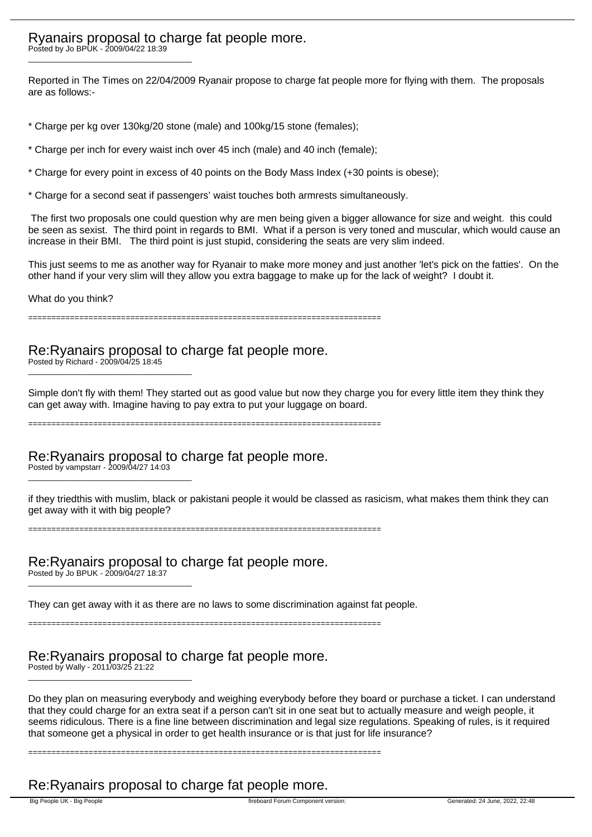## Ryanairs proposal to charge fat people more.

Posted by Jo BPUK - 2009/04/22 18:39 \_\_\_\_\_\_\_\_\_\_\_\_\_\_\_\_\_\_\_\_\_\_\_\_\_\_\_\_\_\_\_\_\_\_\_\_\_

Reported in The Times on 22/04/2009 Ryanair propose to charge fat people more for flying with them. The proposals are as follows:-

- \* Charge per kg over 130kg/20 stone (male) and 100kg/15 stone (females);
- \* Charge per inch for every waist inch over 45 inch (male) and 40 inch (female);
- \* Charge for every point in excess of 40 points on the Body Mass Index (+30 points is obese);
- \* Charge for a second seat if passengers' waist touches both armrests simultaneously.

 The first two proposals one could question why are men being given a bigger allowance for size and weight. this could be seen as sexist. The third point in regards to BMI. What if a person is very toned and muscular, which would cause an increase in their BMI. The third point is just stupid, considering the seats are very slim indeed.

This just seems to me as another way for Ryanair to make more money and just another 'let's pick on the fatties'. On the other hand if your very slim will they allow you extra baggage to make up for the lack of weight? I doubt it.

What do you think?

============================================================================

### Re:Ryanairs proposal to charge fat people more.

Posted by Richard - 2009/04/25 18:45 \_\_\_\_\_\_\_\_\_\_\_\_\_\_\_\_\_\_\_\_\_\_\_\_\_\_\_\_\_\_\_\_\_\_\_\_\_

Simple don't fly with them! They started out as good value but now they charge you for every little item they think they can get away with. Imagine having to pay extra to put your luggage on board.

============================================================================

### Re:Ryanairs proposal to charge fat people more.

Posted by vampstarr - 2009/04/27 14:03 \_\_\_\_\_\_\_\_\_\_\_\_\_\_\_\_\_\_\_\_\_\_\_\_\_\_\_\_\_\_\_\_\_\_\_\_\_

if they triedthis with muslim, black or pakistani people it would be classed as rasicism, what makes them think they can get away with it with big people?

============================================================================

Re:Ryanairs proposal to charge fat people more.

Posted by Jo BPUK - 2009/04/27 18:37 \_\_\_\_\_\_\_\_\_\_\_\_\_\_\_\_\_\_\_\_\_\_\_\_\_\_\_\_\_\_\_\_\_\_\_\_\_

They can get away with it as there are no laws to some discrimination against fat people.

============================================================================

============================================================================

### Re:Ryanairs proposal to charge fat people more.

Posted by Wally - 2011/03/25 21:22 \_\_\_\_\_\_\_\_\_\_\_\_\_\_\_\_\_\_\_\_\_\_\_\_\_\_\_\_\_\_\_\_\_\_\_\_\_

Do they plan on measuring everybody and weighing everybody before they board or purchase a ticket. I can understand that they could charge for an extra seat if a person can't sit in one seat but to actually measure and weigh people, it seems ridiculous. There is a fine line between discrimination and legal size regulations. Speaking of rules, is it required that someone get a physical in order to get health insurance or is that just for life insurance?

## Re:Ryanairs proposal to charge fat people more.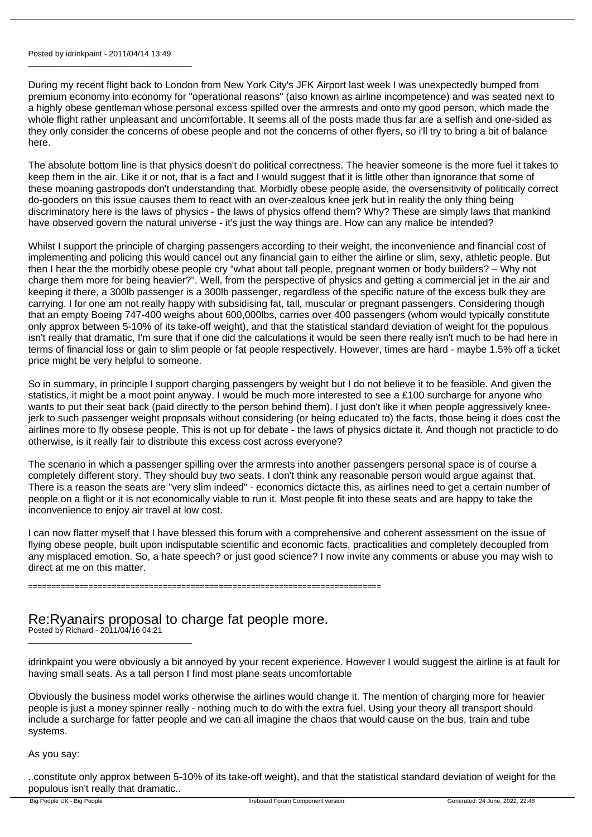#### Posted by idrinkpaint - 2011/04/14 13:49

\_\_\_\_\_\_\_\_\_\_\_\_\_\_\_\_\_\_\_\_\_\_\_\_\_\_\_\_\_\_\_\_\_\_\_\_\_

During my recent flight back to London from New York City's JFK Airport last week I was unexpectedly bumped from premium economy into economy for "operational reasons" (also known as airline incompetence) and was seated next to a highly obese gentleman whose personal excess spilled over the armrests and onto my good person, which made the whole flight rather unpleasant and uncomfortable. It seems all of the posts made thus far are a selfish and one-sided as they only consider the concerns of obese people and not the concerns of other flyers, so i'll try to bring a bit of balance here.

The absolute bottom line is that physics doesn't do political correctness. The heavier someone is the more fuel it takes to keep them in the air. Like it or not, that is a fact and I would suggest that it is little other than ignorance that some of these moaning gastropods don't understanding that. Morbidly obese people aside, the oversensitivity of politically correct do-gooders on this issue causes them to react with an over-zealous knee jerk but in reality the only thing being discriminatory here is the laws of physics - the laws of physics offend them? Why? These are simply laws that mankind have observed govern the natural universe - it's just the way things are. How can any malice be intended?

Whilst I support the principle of charging passengers according to their weight, the inconvenience and financial cost of implementing and policing this would cancel out any financial gain to either the airline or slim, sexy, athletic people. But then I hear the the morbidly obese people cry "what about tall people, pregnant women or body builders? – Why not charge them more for being heavier?". Well, from the perspective of physics and getting a commercial jet in the air and keeping it there, a 300lb passenger is a 300lb passenger, regardless of the specific nature of the excess bulk they are carrying. I for one am not really happy with subsidising fat, tall, muscular or pregnant passengers. Considering though that an empty Boeing 747-400 weighs about 600,000lbs, carries over 400 passengers (whom would typically constitute only approx between 5-10% of its take-off weight), and that the statistical standard deviation of weight for the populous isn't really that dramatic, I'm sure that if one did the calculations it would be seen there really isn't much to be had here in terms of financial loss or gain to slim people or fat people respectively. However, times are hard - maybe 1.5% off a ticket price might be very helpful to someone.

So in summary, in principle I support charging passengers by weight but I do not believe it to be feasible. And given the statistics, it might be a moot point anyway. I would be much more interested to see a £100 surcharge for anyone who wants to put their seat back (paid directly to the person behind them). I just don't like it when people aggressively kneejerk to such passenger weight proposals without considering (or being educated to) the facts, those being it does cost the airlines more to fly obsese people. This is not up for debate - the laws of physics dictate it. And though not practicle to do otherwise, is it really fair to distribute this excess cost across everyone?

The scenario in which a passenger spilling over the armrests into another passengers personal space is of course a completely different story. They should buy two seats. I don't think any reasonable person would argue against that. There is a reason the seats are "very slim indeed" - economics dictacte this, as airlines need to get a certain number of people on a flight or it is not economically viable to run it. Most people fit into these seats and are happy to take the inconvenience to enjoy air travel at low cost.

I can now flatter myself that I have blessed this forum with a comprehensive and coherent assessment on the issue of flying obese people, built upon indisputable scientific and economic facts, practicalities and completely decoupled from any misplaced emotion. So, a hate speech? or just good science? I now invite any comments or abuse you may wish to direct at me on this matter.

============================================================================

## Re:Ryanairs proposal to charge fat people more.

Posted by Richard - 2011/04/16 04:21 \_\_\_\_\_\_\_\_\_\_\_\_\_\_\_\_\_\_\_\_\_\_\_\_\_\_\_\_\_\_\_\_\_\_\_\_\_

idrinkpaint you were obviously a bit annoyed by your recent experience. However I would suggest the airline is at fault for having small seats. As a tall person I find most plane seats uncomfortable

Obviously the business model works otherwise the airlines would change it. The mention of charging more for heavier people is just a money spinner really - nothing much to do with the extra fuel. Using your theory all transport should include a surcharge for fatter people and we can all imagine the chaos that would cause on the bus, train and tube systems.

As you say:

..constitute only approx between 5-10% of its take-off weight), and that the statistical standard deviation of weight for the populous isn't really that dramatic..